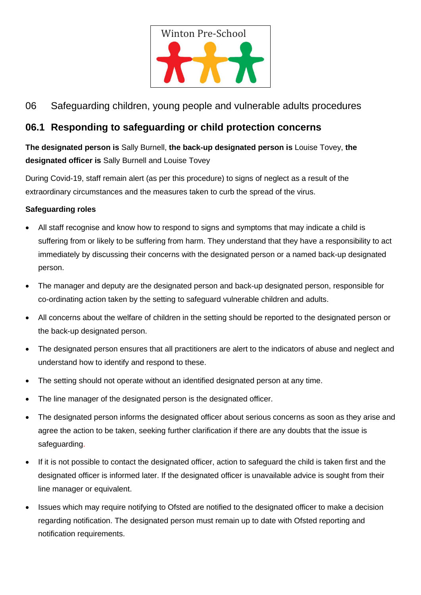

# 06 Safeguarding children, young people and vulnerable adults procedures

## **06.1 Responding to safeguarding or child protection concerns**

**The designated person is** Sally Burnell, **the back-up designated person is** Louise Tovey, **the designated officer is** Sally Burnell and Louise Tovey

During Covid-19, staff remain alert (as per this procedure) to signs of neglect as a result of the extraordinary circumstances and the measures taken to curb the spread of the virus.

## **Safeguarding roles**

- All staff recognise and know how to respond to signs and symptoms that may indicate a child is suffering from or likely to be suffering from harm. They understand that they have a responsibility to act immediately by discussing their concerns with the designated person or a named back-up designated person.
- The manager and deputy are the designated person and back-up designated person, responsible for co-ordinating action taken by the setting to safeguard vulnerable children and adults.
- All concerns about the welfare of children in the setting should be reported to the designated person or the back-up designated person.
- The designated person ensures that all practitioners are alert to the indicators of abuse and neglect and understand how to identify and respond to these.
- The setting should not operate without an identified designated person at any time.
- The line manager of the designated person is the designated officer.
- The designated person informs the designated officer about serious concerns as soon as they arise and agree the action to be taken, seeking further clarification if there are any doubts that the issue is safeguarding.
- If it is not possible to contact the designated officer, action to safeguard the child is taken first and the designated officer is informed later. If the designated officer is unavailable advice is sought from their line manager or equivalent.
- Issues which may require notifying to Ofsted are notified to the designated officer to make a decision regarding notification. The designated person must remain up to date with Ofsted reporting and notification requirements.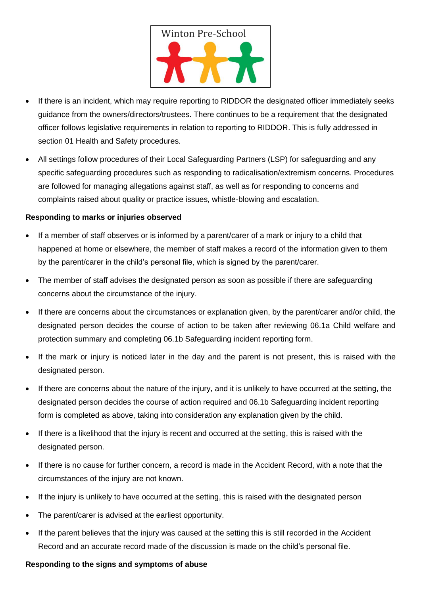

- If there is an incident, which may require reporting to RIDDOR the designated officer immediately seeks guidance from the owners/directors/trustees. There continues to be a requirement that the designated officer follows legislative requirements in relation to reporting to RIDDOR. This is fully addressed in section 01 Health and Safety procedures.
- All settings follow procedures of their Local Safeguarding Partners (LSP) for safeguarding and any specific safeguarding procedures such as responding to radicalisation/extremism concerns. Procedures are followed for managing allegations against staff, as well as for responding to concerns and complaints raised about quality or practice issues, whistle-blowing and escalation.

#### **Responding to marks or injuries observed**

- If a member of staff observes or is informed by a parent/carer of a mark or injury to a child that happened at home or elsewhere, the member of staff makes a record of the information given to them by the parent/carer in the child's personal file, which is signed by the parent/carer.
- The member of staff advises the designated person as soon as possible if there are safeguarding concerns about the circumstance of the injury.
- If there are concerns about the circumstances or explanation given, by the parent/carer and/or child, the designated person decides the course of action to be taken after reviewing 06.1a Child welfare and protection summary and completing 06.1b Safeguarding incident reporting form.
- If the mark or injury is noticed later in the day and the parent is not present, this is raised with the designated person.
- If there are concerns about the nature of the injury, and it is unlikely to have occurred at the setting, the designated person decides the course of action required and 06.1b Safeguarding incident reporting form is completed as above, taking into consideration any explanation given by the child.
- If there is a likelihood that the injury is recent and occurred at the setting, this is raised with the designated person.
- If there is no cause for further concern, a record is made in the Accident Record, with a note that the circumstances of the injury are not known.
- If the injury is unlikely to have occurred at the setting, this is raised with the designated person
- The parent/carer is advised at the earliest opportunity.
- If the parent believes that the injury was caused at the setting this is still recorded in the Accident Record and an accurate record made of the discussion is made on the child's personal file.

#### **Responding to the signs and symptoms of abuse**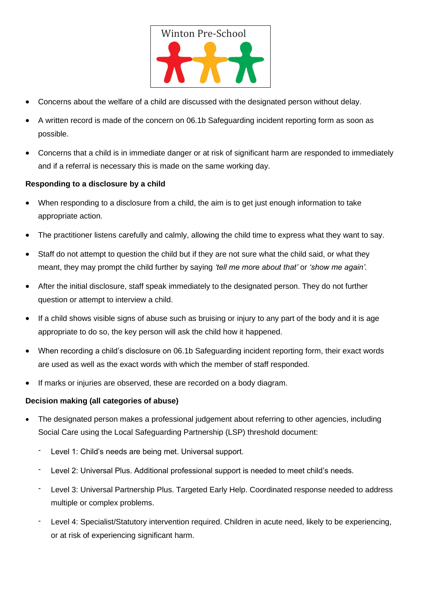

- Concerns about the welfare of a child are discussed with the designated person without delay.
- A written record is made of the concern on 06.1b Safeguarding incident reporting form as soon as possible.
- Concerns that a child is in immediate danger or at risk of significant harm are responded to immediately and if a referral is necessary this is made on the same working day.

### **Responding to a disclosure by a child**

- When responding to a disclosure from a child, the aim is to get just enough information to take appropriate action.
- The practitioner listens carefully and calmly, allowing the child time to express what they want to say.
- Staff do not attempt to question the child but if they are not sure what the child said, or what they meant, they may prompt the child further by saying *'tell me more about that'* or *'show me again'.*
- After the initial disclosure, staff speak immediately to the designated person. They do not further question or attempt to interview a child.
- If a child shows visible signs of abuse such as bruising or injury to any part of the body and it is age appropriate to do so, the key person will ask the child how it happened.
- When recording a child's disclosure on 06.1b Safeguarding incident reporting form, their exact words are used as well as the exact words with which the member of staff responded.
- If marks or injuries are observed, these are recorded on a body diagram.

#### **Decision making (all categories of abuse)**

- The designated person makes a professional judgement about referring to other agencies, including Social Care using the Local Safeguarding Partnership (LSP) threshold document:
	- Level 1: Child's needs are being met. Universal support.
	- Level 2: Universal Plus. Additional professional support is needed to meet child's needs.
	- Level 3: Universal Partnership Plus. Targeted Early Help. Coordinated response needed to address multiple or complex problems.
	- Level 4: Specialist/Statutory intervention required. Children in acute need, likely to be experiencing, or at risk of experiencing significant harm.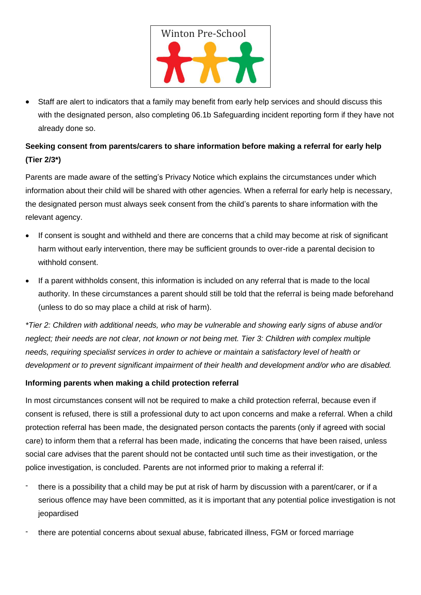

• Staff are alert to indicators that a family may benefit from early help services and should discuss this with the designated person, also completing 06.1b Safeguarding incident reporting form if they have not already done so.

## **Seeking consent from parents/carers to share information before making a referral for early help (Tier 2/3\*)**

Parents are made aware of the setting's Privacy Notice which explains the circumstances under which information about their child will be shared with other agencies. When a referral for early help is necessary, the designated person must always seek consent from the child's parents to share information with the relevant agency.

- If consent is sought and withheld and there are concerns that a child may become at risk of significant harm without early intervention, there may be sufficient grounds to over-ride a parental decision to withhold consent.
- If a parent withholds consent, this information is included on any referral that is made to the local authority. In these circumstances a parent should still be told that the referral is being made beforehand (unless to do so may place a child at risk of harm).

*\*Tier 2: Children with additional needs, who may be vulnerable and showing early signs of abuse and/or neglect; their needs are not clear, not known or not being met. Tier 3: Children with complex multiple needs, requiring specialist services in order to achieve or maintain a satisfactory level of health or development or to prevent significant impairment of their health and development and/or who are disabled.*

### **Informing parents when making a child protection referral**

In most circumstances consent will not be required to make a child protection referral, because even if consent is refused, there is still a professional duty to act upon concerns and make a referral. When a child protection referral has been made, the designated person contacts the parents (only if agreed with social care) to inform them that a referral has been made, indicating the concerns that have been raised, unless social care advises that the parent should not be contacted until such time as their investigation, or the police investigation, is concluded. Parents are not informed prior to making a referral if:

- there is a possibility that a child may be put at risk of harm by discussion with a parent/carer, or if a serious offence may have been committed, as it is important that any potential police investigation is not jeopardised
- there are potential concerns about sexual abuse, fabricated illness, FGM or forced marriage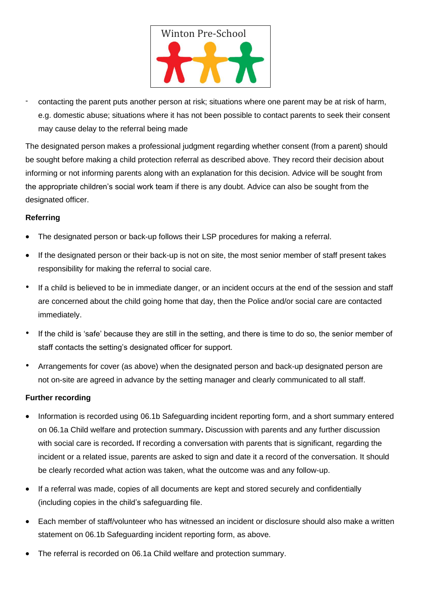

- contacting the parent puts another person at risk; situations where one parent may be at risk of harm, e.g. domestic abuse; situations where it has not been possible to contact parents to seek their consent may cause delay to the referral being made

The designated person makes a professional judgment regarding whether consent (from a parent) should be sought before making a child protection referral as described above. They record their decision about informing or not informing parents along with an explanation for this decision. Advice will be sought from the appropriate children's social work team if there is any doubt. Advice can also be sought from the designated officer.

### **Referring**

- The designated person or back-up follows their LSP procedures for making a referral.
- If the designated person or their back-up is not on site, the most senior member of staff present takes responsibility for making the referral to social care.
- If a child is believed to be in immediate danger, or an incident occurs at the end of the session and staff are concerned about the child going home that day, then the Police and/or social care are contacted immediately.
- If the child is 'safe' because they are still in the setting, and there is time to do so, the senior member of staff contacts the setting's designated officer for support.
- Arrangements for cover (as above) when the designated person and back-up designated person are not on-site are agreed in advance by the setting manager and clearly communicated to all staff.

### **Further recording**

- Information is recorded using 06.1b Safeguarding incident reporting form, and a short summary entered on 06.1a Child welfare and protection summary**.** Discussion with parents and any further discussion with social care is recorded**.** If recording a conversation with parents that is significant, regarding the incident or a related issue, parents are asked to sign and date it a record of the conversation. It should be clearly recorded what action was taken, what the outcome was and any follow-up.
- If a referral was made, copies of all documents are kept and stored securely and confidentially (including copies in the child's safeguarding file.
- Each member of staff/volunteer who has witnessed an incident or disclosure should also make a written statement on 06.1b Safeguarding incident reporting form, as above.
- The referral is recorded on 06.1a Child welfare and protection summary.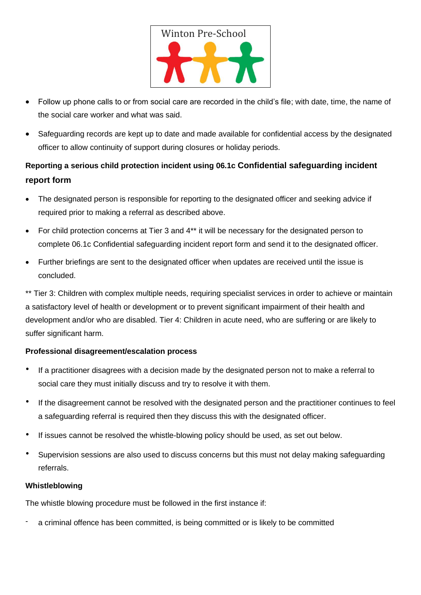

- Follow up phone calls to or from social care are recorded in the child's file; with date, time, the name of the social care worker and what was said.
- Safeguarding records are kept up to date and made available for confidential access by the designated officer to allow continuity of support during closures or holiday periods.

# **Reporting a serious child protection incident using 06.1c Confidential safeguarding incident report form**

- The designated person is responsible for reporting to the designated officer and seeking advice if required prior to making a referral as described above.
- For child protection concerns at Tier 3 and 4\*\* it will be necessary for the designated person to complete 06.1c Confidential safeguarding incident report form and send it to the designated officer.
- Further briefings are sent to the designated officer when updates are received until the issue is concluded.

\*\* Tier 3: Children with complex multiple needs, requiring specialist services in order to achieve or maintain a satisfactory level of health or development or to prevent significant impairment of their health and development and/or who are disabled. Tier 4: Children in acute need, who are suffering or are likely to suffer significant harm.

### **Professional disagreement/escalation process**

- If a practitioner disagrees with a decision made by the designated person not to make a referral to social care they must initially discuss and try to resolve it with them.
- If the disagreement cannot be resolved with the designated person and the practitioner continues to feel a safeguarding referral is required then they discuss this with the designated officer.
- If issues cannot be resolved the whistle-blowing policy should be used, as set out below.
- Supervision sessions are also used to discuss concerns but this must not delay making safeguarding referrals.

### **Whistleblowing**

The whistle blowing procedure must be followed in the first instance if:

a criminal offence has been committed, is being committed or is likely to be committed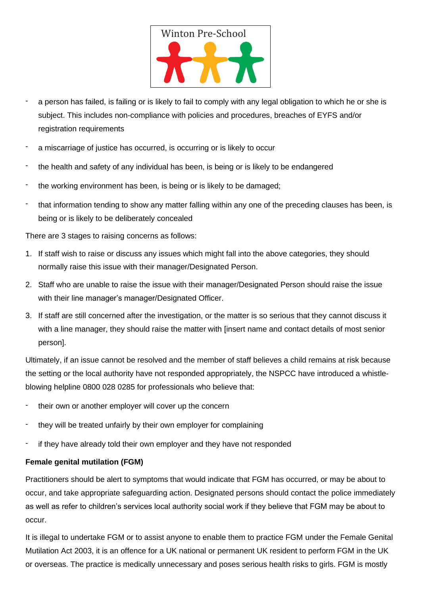

- a person has failed, is failing or is likely to fail to comply with any legal obligation to which he or she is subject. This includes non-compliance with policies and procedures, breaches of EYFS and/or registration requirements
- a miscarriage of justice has occurred, is occurring or is likely to occur
- the health and safety of any individual has been, is being or is likely to be endangered
- the working environment has been, is being or is likely to be damaged;
- that information tending to show any matter falling within any one of the preceding clauses has been, is being or is likely to be deliberately concealed

There are 3 stages to raising concerns as follows:

- 1. If staff wish to raise or discuss any issues which might fall into the above categories, they should normally raise this issue with their manager/Designated Person.
- 2. Staff who are unable to raise the issue with their manager/Designated Person should raise the issue with their line manager's manager/Designated Officer.
- 3. If staff are still concerned after the investigation, or the matter is so serious that they cannot discuss it with a line manager, they should raise the matter with [insert name and contact details of most senior person].

Ultimately, if an issue cannot be resolved and the member of staff believes a child remains at risk because the setting or the local authority have not responded appropriately, the NSPCC have introduced a whistleblowing helpline 0800 028 0285 for professionals who believe that:

- their own or another employer will cover up the concern
- they will be treated unfairly by their own employer for complaining
- if they have already told their own employer and they have not responded

### **Female genital mutilation (FGM)**

Practitioners should be alert to symptoms that would indicate that FGM has occurred, or may be about to occur, and take appropriate safeguarding action. Designated persons should contact the police immediately as well as refer to children's services local authority social work if they believe that FGM may be about to occur.

It is illegal to undertake FGM or to assist anyone to enable them to practice FGM under the Female Genital Mutilation Act 2003, it is an offence for a UK national or permanent UK resident to perform FGM in the UK or overseas. The practice is medically unnecessary and poses serious health risks to girls. FGM is mostly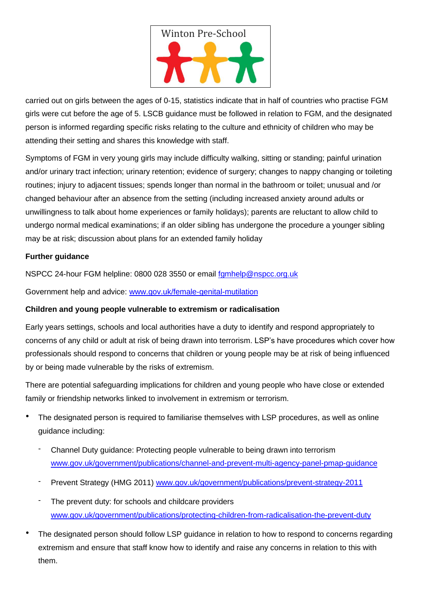

carried out on girls between the ages of 0-15, statistics indicate that in half of countries who practise FGM girls were cut before the age of 5. LSCB guidance must be followed in relation to FGM, and the designated person is informed regarding specific risks relating to the culture and ethnicity of children who may be attending their setting and shares this knowledge with staff.

Symptoms of FGM in very young girls may include difficulty walking, sitting or standing; painful urination and/or urinary tract infection; urinary retention; evidence of surgery; changes to nappy changing or toileting routines; injury to adjacent tissues; spends longer than normal in the bathroom or toilet; unusual and /or changed behaviour after an absence from the setting (including increased anxiety around adults or unwillingness to talk about home experiences or family holidays); parents are reluctant to allow child to undergo normal medical examinations; if an older sibling has undergone the procedure a younger sibling may be at risk; discussion about plans for an extended family holiday

## **Further guidance**

NSPCC 24-hour FGM helpline: 0800 028 3550 or email [fgmhelp@nspcc.org.uk](mailto:fgmhelp@nspcc.org.uk)

Government help and advice: [www.gov.uk/female-genital-mutilation](http://www.gov.uk/female-genital-mutilation)

### **Children and young people vulnerable to extremism or radicalisation**

Early years settings, schools and local authorities have a duty to identify and respond appropriately to concerns of any child or adult at risk of being drawn into terrorism. LSP's have procedures which cover how professionals should respond to concerns that children or young people may be at risk of being influenced by or being made vulnerable by the risks of extremism.

There are potential safeguarding implications for children and young people who have close or extended family or friendship networks linked to involvement in extremism or terrorism.

- The designated person is required to familiarise themselves with LSP procedures, as well as online guidance including:
	- Channel Duty guidance: Protecting people vulnerable to being drawn into terrorism [www.gov.uk/government/publications/channel-and-prevent-multi-agency-panel-pmap-guidance](http://www.gov.uk/government/publications/channel-and-prevent-multi-agency-panel-pmap-guidance)
	- Prevent Strategy (HMG 2011) [www.gov.uk/government/publications/prevent-strategy-2011](http://www.gov.uk/government/publications/prevent-strategy-2011)
	- The prevent duty: for schools and childcare providers [www.gov.uk/government/publications/protecting-children-from-radicalisation-the-prevent-duty](http://www.gov.uk/government/publications/protecting-children-from-radicalisation-the-prevent-duty)
- The designated person should follow LSP guidance in relation to how to respond to concerns regarding extremism and ensure that staff know how to identify and raise any concerns in relation to this with them.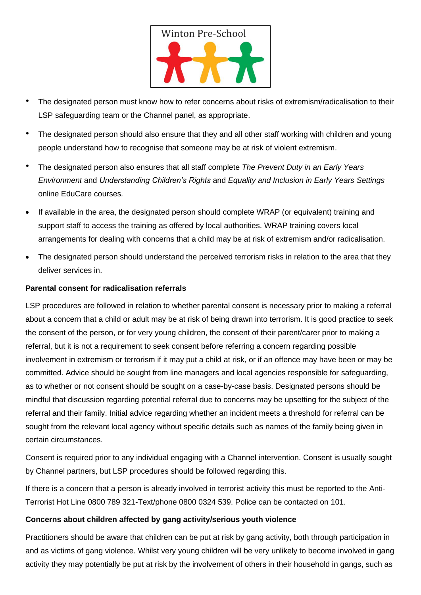

- The designated person must know how to refer concerns about risks of extremism/radicalisation to their LSP safeguarding team or the Channel panel, as appropriate.
- The designated person should also ensure that they and all other staff working with children and young people understand how to recognise that someone may be at risk of violent extremism.
- The designated person also ensures that all staff complete *The Prevent Duty in an Early Years Environment* and *Understanding Children's Rights* and *Equality and Inclusion in Early Years Settings* online EduCare courses*.*
- If available in the area, the designated person should complete WRAP (or equivalent) training and support staff to access the training as offered by local authorities. WRAP training covers local arrangements for dealing with concerns that a child may be at risk of extremism and/or radicalisation.
- The designated person should understand the perceived terrorism risks in relation to the area that they deliver services in.

#### **Parental consent for radicalisation referrals**

LSP procedures are followed in relation to whether parental consent is necessary prior to making a referral about a concern that a child or adult may be at risk of being drawn into terrorism. It is good practice to seek the consent of the person, or for very young children, the consent of their parent/carer prior to making a referral, but it is not a requirement to seek consent before referring a concern regarding possible involvement in extremism or terrorism if it may put a child at risk, or if an offence may have been or may be committed. Advice should be sought from line managers and local agencies responsible for safeguarding, as to whether or not consent should be sought on a case-by-case basis. Designated persons should be mindful that discussion regarding potential referral due to concerns may be upsetting for the subject of the referral and their family. Initial advice regarding whether an incident meets a threshold for referral can be sought from the relevant local agency without specific details such as names of the family being given in certain circumstances.

Consent is required prior to any individual engaging with a Channel intervention. Consent is usually sought by Channel partners, but LSP procedures should be followed regarding this.

If there is a concern that a person is already involved in terrorist activity this must be reported to the Anti-Terrorist Hot Line 0800 789 321-Text/phone 0800 0324 539. Police can be contacted on 101.

#### **Concerns about children affected by gang activity/serious youth violence**

Practitioners should be aware that children can be put at risk by gang activity, both through participation in and as victims of gang violence. Whilst very young children will be very unlikely to become involved in gang activity they may potentially be put at risk by the involvement of others in their household in gangs, such as